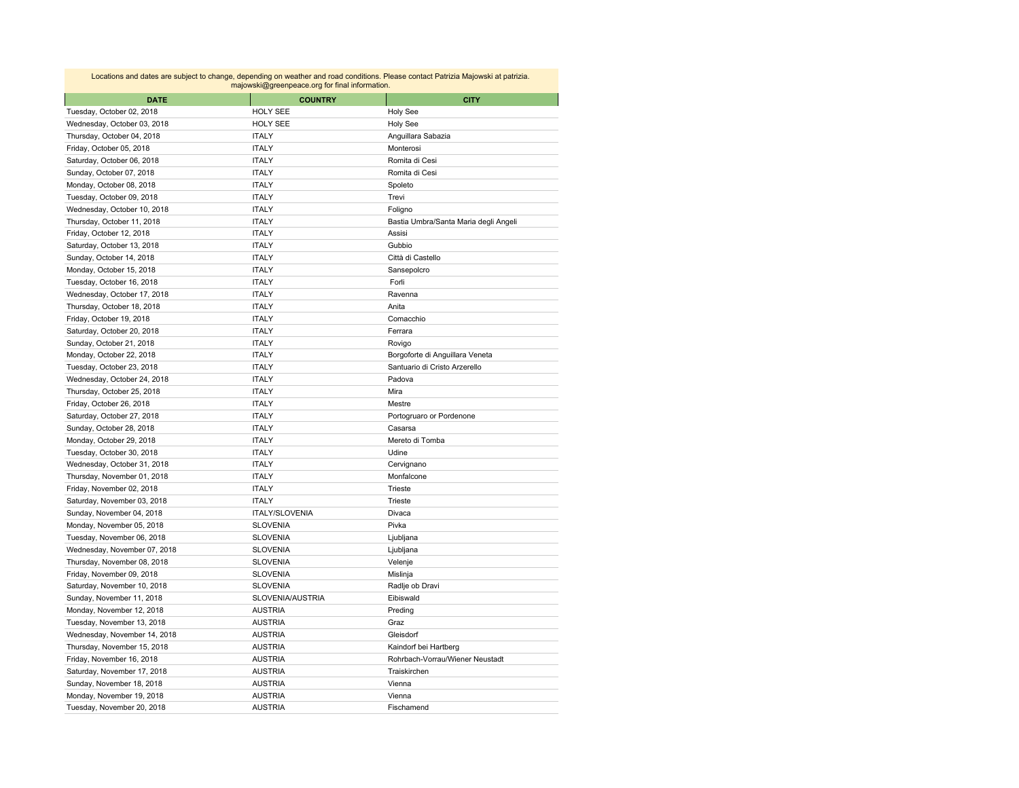| <b>DATE</b><br><b>COUNTRY</b><br><b>CITY</b><br>Tuesday, October 02, 2018<br><b>HOLY SEE</b><br><b>Holy See</b><br><b>HOLY SEE</b><br>Wednesday, October 03, 2018<br>Holy See<br>Thursday, October 04, 2018<br><b>ITALY</b><br>Anguillara Sabazia<br>Friday, October 05, 2018<br><b>ITALY</b><br>Monterosi<br><b>ITALY</b><br>Saturday, October 06, 2018<br>Romita di Cesi<br>Sunday, October 07, 2018<br><b>ITALY</b><br>Romita di Cesi<br>Monday, October 08, 2018<br><b>ITALY</b><br>Spoleto<br><b>ITALY</b><br>Trevi<br>Tuesday, October 09, 2018<br>Wednesday, October 10, 2018<br><b>ITALY</b><br>Foligno<br><b>ITALY</b><br>Thursday, October 11, 2018<br>Bastia Umbra/Santa Maria degli Angeli<br>Friday, October 12, 2018<br><b>ITALY</b><br>Assisi<br><b>ITALY</b><br>Gubbio<br>Saturday, October 13, 2018<br><b>ITALY</b><br>Città di Castello<br>Sunday, October 14, 2018<br>Monday, October 15, 2018<br><b>ITALY</b><br>Sansepolcro<br><b>ITALY</b><br>Forli<br>Tuesday, October 16, 2018<br>Wednesday, October 17, 2018<br><b>ITALY</b><br>Ravenna<br>Thursday, October 18, 2018<br><b>ITALY</b><br>Anita<br><b>ITALY</b><br>Comacchio<br>Friday, October 19, 2018<br>Saturday, October 20, 2018<br><b>ITALY</b><br>Ferrara<br><b>ITALY</b><br>Rovigo<br>Sunday, October 21, 2018<br>Monday, October 22, 2018<br><b>ITALY</b><br>Borgoforte di Anguillara Veneta<br><b>ITALY</b><br>Tuesday, October 23, 2018<br>Santuario di Cristo Arzerello<br><b>ITALY</b><br>Padova<br>Wednesday, October 24, 2018<br><b>ITALY</b><br>Mira<br>Thursday, October 25, 2018<br><b>ITALY</b><br>Friday, October 26, 2018<br>Mestre<br>Saturday, October 27, 2018<br><b>ITALY</b><br>Portogruaro or Pordenone<br>Sunday, October 28, 2018<br><b>ITALY</b><br>Casarsa<br><b>ITALY</b><br>Mereto di Tomba<br>Monday, October 29, 2018<br>Udine<br>Tuesday, October 30, 2018<br><b>ITALY</b><br><b>ITALY</b><br>Wednesday, October 31, 2018<br>Cervignano<br><b>ITALY</b><br>Monfalcone<br>Thursday, November 01, 2018<br><b>ITALY</b><br>Trieste<br>Friday, November 02, 2018<br><b>ITALY</b><br>Trieste<br>Saturday, November 03, 2018<br><b>ITALY/SLOVENIA</b><br>Divaca<br>Sunday, November 04, 2018<br>Pivka<br>Monday, November 05, 2018<br><b>SLOVENIA</b><br>Tuesday, November 06, 2018<br><b>SLOVENIA</b><br>Ljubljana<br>Wednesday, November 07, 2018<br><b>SLOVENIA</b><br>Ljubljana<br>Thursday, November 08, 2018<br><b>SLOVENIA</b><br>Velenje<br>Friday, November 09, 2018<br><b>SLOVENIA</b><br>Mislinja<br>Radlje ob Dravi<br>Saturday, November 10, 2018<br><b>SLOVENIA</b><br>Eibiswald<br>Sunday, November 11, 2018<br>SLOVENIA/AUSTRIA<br>Preding<br>Monday, November 12, 2018<br><b>AUSTRIA</b><br>Graz<br>Tuesday, November 13, 2018<br><b>AUSTRIA</b><br>Wednesday, November 14, 2018<br><b>AUSTRIA</b><br>Gleisdorf<br>Thursday, November 15, 2018<br><b>AUSTRIA</b><br>Kaindorf bei Hartberg<br>Friday, November 16, 2018<br><b>AUSTRIA</b><br>Rohrbach-Vorrau/Wiener Neustadt<br>Saturday, November 17, 2018<br><b>AUSTRIA</b><br>Traiskirchen<br>Vienna<br>Sunday, November 18, 2018<br><b>AUSTRIA</b><br>Monday, November 19, 2018<br><b>AUSTRIA</b><br>Vienna | Locations and dates are subject to change, depending on weather and road conditions. Please contact Patrizia Majowski at patrizia.<br>majowski@greenpeace.org for final information. |                |            |  |  |
|----------------------------------------------------------------------------------------------------------------------------------------------------------------------------------------------------------------------------------------------------------------------------------------------------------------------------------------------------------------------------------------------------------------------------------------------------------------------------------------------------------------------------------------------------------------------------------------------------------------------------------------------------------------------------------------------------------------------------------------------------------------------------------------------------------------------------------------------------------------------------------------------------------------------------------------------------------------------------------------------------------------------------------------------------------------------------------------------------------------------------------------------------------------------------------------------------------------------------------------------------------------------------------------------------------------------------------------------------------------------------------------------------------------------------------------------------------------------------------------------------------------------------------------------------------------------------------------------------------------------------------------------------------------------------------------------------------------------------------------------------------------------------------------------------------------------------------------------------------------------------------------------------------------------------------------------------------------------------------------------------------------------------------------------------------------------------------------------------------------------------------------------------------------------------------------------------------------------------------------------------------------------------------------------------------------------------------------------------------------------------------------------------------------------------------------------------------------------------------------------------------------------------------------------------------------------------------------------------------------------------------------------------------------------------------------------------------------------------------------------------------------------------------------------------------------------------------------------------------------------------------------------------------------------------------------------------------------------------------------------------------------------------------------------------------------------------------------------------------------------------------------------------------------------------------------|--------------------------------------------------------------------------------------------------------------------------------------------------------------------------------------|----------------|------------|--|--|
|                                                                                                                                                                                                                                                                                                                                                                                                                                                                                                                                                                                                                                                                                                                                                                                                                                                                                                                                                                                                                                                                                                                                                                                                                                                                                                                                                                                                                                                                                                                                                                                                                                                                                                                                                                                                                                                                                                                                                                                                                                                                                                                                                                                                                                                                                                                                                                                                                                                                                                                                                                                                                                                                                                                                                                                                                                                                                                                                                                                                                                                                                                                                                                                        |                                                                                                                                                                                      |                |            |  |  |
|                                                                                                                                                                                                                                                                                                                                                                                                                                                                                                                                                                                                                                                                                                                                                                                                                                                                                                                                                                                                                                                                                                                                                                                                                                                                                                                                                                                                                                                                                                                                                                                                                                                                                                                                                                                                                                                                                                                                                                                                                                                                                                                                                                                                                                                                                                                                                                                                                                                                                                                                                                                                                                                                                                                                                                                                                                                                                                                                                                                                                                                                                                                                                                                        |                                                                                                                                                                                      |                |            |  |  |
|                                                                                                                                                                                                                                                                                                                                                                                                                                                                                                                                                                                                                                                                                                                                                                                                                                                                                                                                                                                                                                                                                                                                                                                                                                                                                                                                                                                                                                                                                                                                                                                                                                                                                                                                                                                                                                                                                                                                                                                                                                                                                                                                                                                                                                                                                                                                                                                                                                                                                                                                                                                                                                                                                                                                                                                                                                                                                                                                                                                                                                                                                                                                                                                        |                                                                                                                                                                                      |                |            |  |  |
|                                                                                                                                                                                                                                                                                                                                                                                                                                                                                                                                                                                                                                                                                                                                                                                                                                                                                                                                                                                                                                                                                                                                                                                                                                                                                                                                                                                                                                                                                                                                                                                                                                                                                                                                                                                                                                                                                                                                                                                                                                                                                                                                                                                                                                                                                                                                                                                                                                                                                                                                                                                                                                                                                                                                                                                                                                                                                                                                                                                                                                                                                                                                                                                        |                                                                                                                                                                                      |                |            |  |  |
|                                                                                                                                                                                                                                                                                                                                                                                                                                                                                                                                                                                                                                                                                                                                                                                                                                                                                                                                                                                                                                                                                                                                                                                                                                                                                                                                                                                                                                                                                                                                                                                                                                                                                                                                                                                                                                                                                                                                                                                                                                                                                                                                                                                                                                                                                                                                                                                                                                                                                                                                                                                                                                                                                                                                                                                                                                                                                                                                                                                                                                                                                                                                                                                        |                                                                                                                                                                                      |                |            |  |  |
|                                                                                                                                                                                                                                                                                                                                                                                                                                                                                                                                                                                                                                                                                                                                                                                                                                                                                                                                                                                                                                                                                                                                                                                                                                                                                                                                                                                                                                                                                                                                                                                                                                                                                                                                                                                                                                                                                                                                                                                                                                                                                                                                                                                                                                                                                                                                                                                                                                                                                                                                                                                                                                                                                                                                                                                                                                                                                                                                                                                                                                                                                                                                                                                        |                                                                                                                                                                                      |                |            |  |  |
|                                                                                                                                                                                                                                                                                                                                                                                                                                                                                                                                                                                                                                                                                                                                                                                                                                                                                                                                                                                                                                                                                                                                                                                                                                                                                                                                                                                                                                                                                                                                                                                                                                                                                                                                                                                                                                                                                                                                                                                                                                                                                                                                                                                                                                                                                                                                                                                                                                                                                                                                                                                                                                                                                                                                                                                                                                                                                                                                                                                                                                                                                                                                                                                        |                                                                                                                                                                                      |                |            |  |  |
|                                                                                                                                                                                                                                                                                                                                                                                                                                                                                                                                                                                                                                                                                                                                                                                                                                                                                                                                                                                                                                                                                                                                                                                                                                                                                                                                                                                                                                                                                                                                                                                                                                                                                                                                                                                                                                                                                                                                                                                                                                                                                                                                                                                                                                                                                                                                                                                                                                                                                                                                                                                                                                                                                                                                                                                                                                                                                                                                                                                                                                                                                                                                                                                        |                                                                                                                                                                                      |                |            |  |  |
|                                                                                                                                                                                                                                                                                                                                                                                                                                                                                                                                                                                                                                                                                                                                                                                                                                                                                                                                                                                                                                                                                                                                                                                                                                                                                                                                                                                                                                                                                                                                                                                                                                                                                                                                                                                                                                                                                                                                                                                                                                                                                                                                                                                                                                                                                                                                                                                                                                                                                                                                                                                                                                                                                                                                                                                                                                                                                                                                                                                                                                                                                                                                                                                        |                                                                                                                                                                                      |                |            |  |  |
|                                                                                                                                                                                                                                                                                                                                                                                                                                                                                                                                                                                                                                                                                                                                                                                                                                                                                                                                                                                                                                                                                                                                                                                                                                                                                                                                                                                                                                                                                                                                                                                                                                                                                                                                                                                                                                                                                                                                                                                                                                                                                                                                                                                                                                                                                                                                                                                                                                                                                                                                                                                                                                                                                                                                                                                                                                                                                                                                                                                                                                                                                                                                                                                        |                                                                                                                                                                                      |                |            |  |  |
|                                                                                                                                                                                                                                                                                                                                                                                                                                                                                                                                                                                                                                                                                                                                                                                                                                                                                                                                                                                                                                                                                                                                                                                                                                                                                                                                                                                                                                                                                                                                                                                                                                                                                                                                                                                                                                                                                                                                                                                                                                                                                                                                                                                                                                                                                                                                                                                                                                                                                                                                                                                                                                                                                                                                                                                                                                                                                                                                                                                                                                                                                                                                                                                        |                                                                                                                                                                                      |                |            |  |  |
|                                                                                                                                                                                                                                                                                                                                                                                                                                                                                                                                                                                                                                                                                                                                                                                                                                                                                                                                                                                                                                                                                                                                                                                                                                                                                                                                                                                                                                                                                                                                                                                                                                                                                                                                                                                                                                                                                                                                                                                                                                                                                                                                                                                                                                                                                                                                                                                                                                                                                                                                                                                                                                                                                                                                                                                                                                                                                                                                                                                                                                                                                                                                                                                        |                                                                                                                                                                                      |                |            |  |  |
|                                                                                                                                                                                                                                                                                                                                                                                                                                                                                                                                                                                                                                                                                                                                                                                                                                                                                                                                                                                                                                                                                                                                                                                                                                                                                                                                                                                                                                                                                                                                                                                                                                                                                                                                                                                                                                                                                                                                                                                                                                                                                                                                                                                                                                                                                                                                                                                                                                                                                                                                                                                                                                                                                                                                                                                                                                                                                                                                                                                                                                                                                                                                                                                        |                                                                                                                                                                                      |                |            |  |  |
|                                                                                                                                                                                                                                                                                                                                                                                                                                                                                                                                                                                                                                                                                                                                                                                                                                                                                                                                                                                                                                                                                                                                                                                                                                                                                                                                                                                                                                                                                                                                                                                                                                                                                                                                                                                                                                                                                                                                                                                                                                                                                                                                                                                                                                                                                                                                                                                                                                                                                                                                                                                                                                                                                                                                                                                                                                                                                                                                                                                                                                                                                                                                                                                        |                                                                                                                                                                                      |                |            |  |  |
|                                                                                                                                                                                                                                                                                                                                                                                                                                                                                                                                                                                                                                                                                                                                                                                                                                                                                                                                                                                                                                                                                                                                                                                                                                                                                                                                                                                                                                                                                                                                                                                                                                                                                                                                                                                                                                                                                                                                                                                                                                                                                                                                                                                                                                                                                                                                                                                                                                                                                                                                                                                                                                                                                                                                                                                                                                                                                                                                                                                                                                                                                                                                                                                        |                                                                                                                                                                                      |                |            |  |  |
|                                                                                                                                                                                                                                                                                                                                                                                                                                                                                                                                                                                                                                                                                                                                                                                                                                                                                                                                                                                                                                                                                                                                                                                                                                                                                                                                                                                                                                                                                                                                                                                                                                                                                                                                                                                                                                                                                                                                                                                                                                                                                                                                                                                                                                                                                                                                                                                                                                                                                                                                                                                                                                                                                                                                                                                                                                                                                                                                                                                                                                                                                                                                                                                        |                                                                                                                                                                                      |                |            |  |  |
|                                                                                                                                                                                                                                                                                                                                                                                                                                                                                                                                                                                                                                                                                                                                                                                                                                                                                                                                                                                                                                                                                                                                                                                                                                                                                                                                                                                                                                                                                                                                                                                                                                                                                                                                                                                                                                                                                                                                                                                                                                                                                                                                                                                                                                                                                                                                                                                                                                                                                                                                                                                                                                                                                                                                                                                                                                                                                                                                                                                                                                                                                                                                                                                        |                                                                                                                                                                                      |                |            |  |  |
|                                                                                                                                                                                                                                                                                                                                                                                                                                                                                                                                                                                                                                                                                                                                                                                                                                                                                                                                                                                                                                                                                                                                                                                                                                                                                                                                                                                                                                                                                                                                                                                                                                                                                                                                                                                                                                                                                                                                                                                                                                                                                                                                                                                                                                                                                                                                                                                                                                                                                                                                                                                                                                                                                                                                                                                                                                                                                                                                                                                                                                                                                                                                                                                        |                                                                                                                                                                                      |                |            |  |  |
|                                                                                                                                                                                                                                                                                                                                                                                                                                                                                                                                                                                                                                                                                                                                                                                                                                                                                                                                                                                                                                                                                                                                                                                                                                                                                                                                                                                                                                                                                                                                                                                                                                                                                                                                                                                                                                                                                                                                                                                                                                                                                                                                                                                                                                                                                                                                                                                                                                                                                                                                                                                                                                                                                                                                                                                                                                                                                                                                                                                                                                                                                                                                                                                        |                                                                                                                                                                                      |                |            |  |  |
|                                                                                                                                                                                                                                                                                                                                                                                                                                                                                                                                                                                                                                                                                                                                                                                                                                                                                                                                                                                                                                                                                                                                                                                                                                                                                                                                                                                                                                                                                                                                                                                                                                                                                                                                                                                                                                                                                                                                                                                                                                                                                                                                                                                                                                                                                                                                                                                                                                                                                                                                                                                                                                                                                                                                                                                                                                                                                                                                                                                                                                                                                                                                                                                        |                                                                                                                                                                                      |                |            |  |  |
|                                                                                                                                                                                                                                                                                                                                                                                                                                                                                                                                                                                                                                                                                                                                                                                                                                                                                                                                                                                                                                                                                                                                                                                                                                                                                                                                                                                                                                                                                                                                                                                                                                                                                                                                                                                                                                                                                                                                                                                                                                                                                                                                                                                                                                                                                                                                                                                                                                                                                                                                                                                                                                                                                                                                                                                                                                                                                                                                                                                                                                                                                                                                                                                        |                                                                                                                                                                                      |                |            |  |  |
|                                                                                                                                                                                                                                                                                                                                                                                                                                                                                                                                                                                                                                                                                                                                                                                                                                                                                                                                                                                                                                                                                                                                                                                                                                                                                                                                                                                                                                                                                                                                                                                                                                                                                                                                                                                                                                                                                                                                                                                                                                                                                                                                                                                                                                                                                                                                                                                                                                                                                                                                                                                                                                                                                                                                                                                                                                                                                                                                                                                                                                                                                                                                                                                        |                                                                                                                                                                                      |                |            |  |  |
|                                                                                                                                                                                                                                                                                                                                                                                                                                                                                                                                                                                                                                                                                                                                                                                                                                                                                                                                                                                                                                                                                                                                                                                                                                                                                                                                                                                                                                                                                                                                                                                                                                                                                                                                                                                                                                                                                                                                                                                                                                                                                                                                                                                                                                                                                                                                                                                                                                                                                                                                                                                                                                                                                                                                                                                                                                                                                                                                                                                                                                                                                                                                                                                        |                                                                                                                                                                                      |                |            |  |  |
|                                                                                                                                                                                                                                                                                                                                                                                                                                                                                                                                                                                                                                                                                                                                                                                                                                                                                                                                                                                                                                                                                                                                                                                                                                                                                                                                                                                                                                                                                                                                                                                                                                                                                                                                                                                                                                                                                                                                                                                                                                                                                                                                                                                                                                                                                                                                                                                                                                                                                                                                                                                                                                                                                                                                                                                                                                                                                                                                                                                                                                                                                                                                                                                        |                                                                                                                                                                                      |                |            |  |  |
|                                                                                                                                                                                                                                                                                                                                                                                                                                                                                                                                                                                                                                                                                                                                                                                                                                                                                                                                                                                                                                                                                                                                                                                                                                                                                                                                                                                                                                                                                                                                                                                                                                                                                                                                                                                                                                                                                                                                                                                                                                                                                                                                                                                                                                                                                                                                                                                                                                                                                                                                                                                                                                                                                                                                                                                                                                                                                                                                                                                                                                                                                                                                                                                        |                                                                                                                                                                                      |                |            |  |  |
|                                                                                                                                                                                                                                                                                                                                                                                                                                                                                                                                                                                                                                                                                                                                                                                                                                                                                                                                                                                                                                                                                                                                                                                                                                                                                                                                                                                                                                                                                                                                                                                                                                                                                                                                                                                                                                                                                                                                                                                                                                                                                                                                                                                                                                                                                                                                                                                                                                                                                                                                                                                                                                                                                                                                                                                                                                                                                                                                                                                                                                                                                                                                                                                        |                                                                                                                                                                                      |                |            |  |  |
|                                                                                                                                                                                                                                                                                                                                                                                                                                                                                                                                                                                                                                                                                                                                                                                                                                                                                                                                                                                                                                                                                                                                                                                                                                                                                                                                                                                                                                                                                                                                                                                                                                                                                                                                                                                                                                                                                                                                                                                                                                                                                                                                                                                                                                                                                                                                                                                                                                                                                                                                                                                                                                                                                                                                                                                                                                                                                                                                                                                                                                                                                                                                                                                        |                                                                                                                                                                                      |                |            |  |  |
|                                                                                                                                                                                                                                                                                                                                                                                                                                                                                                                                                                                                                                                                                                                                                                                                                                                                                                                                                                                                                                                                                                                                                                                                                                                                                                                                                                                                                                                                                                                                                                                                                                                                                                                                                                                                                                                                                                                                                                                                                                                                                                                                                                                                                                                                                                                                                                                                                                                                                                                                                                                                                                                                                                                                                                                                                                                                                                                                                                                                                                                                                                                                                                                        |                                                                                                                                                                                      |                |            |  |  |
|                                                                                                                                                                                                                                                                                                                                                                                                                                                                                                                                                                                                                                                                                                                                                                                                                                                                                                                                                                                                                                                                                                                                                                                                                                                                                                                                                                                                                                                                                                                                                                                                                                                                                                                                                                                                                                                                                                                                                                                                                                                                                                                                                                                                                                                                                                                                                                                                                                                                                                                                                                                                                                                                                                                                                                                                                                                                                                                                                                                                                                                                                                                                                                                        |                                                                                                                                                                                      |                |            |  |  |
|                                                                                                                                                                                                                                                                                                                                                                                                                                                                                                                                                                                                                                                                                                                                                                                                                                                                                                                                                                                                                                                                                                                                                                                                                                                                                                                                                                                                                                                                                                                                                                                                                                                                                                                                                                                                                                                                                                                                                                                                                                                                                                                                                                                                                                                                                                                                                                                                                                                                                                                                                                                                                                                                                                                                                                                                                                                                                                                                                                                                                                                                                                                                                                                        |                                                                                                                                                                                      |                |            |  |  |
|                                                                                                                                                                                                                                                                                                                                                                                                                                                                                                                                                                                                                                                                                                                                                                                                                                                                                                                                                                                                                                                                                                                                                                                                                                                                                                                                                                                                                                                                                                                                                                                                                                                                                                                                                                                                                                                                                                                                                                                                                                                                                                                                                                                                                                                                                                                                                                                                                                                                                                                                                                                                                                                                                                                                                                                                                                                                                                                                                                                                                                                                                                                                                                                        |                                                                                                                                                                                      |                |            |  |  |
|                                                                                                                                                                                                                                                                                                                                                                                                                                                                                                                                                                                                                                                                                                                                                                                                                                                                                                                                                                                                                                                                                                                                                                                                                                                                                                                                                                                                                                                                                                                                                                                                                                                                                                                                                                                                                                                                                                                                                                                                                                                                                                                                                                                                                                                                                                                                                                                                                                                                                                                                                                                                                                                                                                                                                                                                                                                                                                                                                                                                                                                                                                                                                                                        |                                                                                                                                                                                      |                |            |  |  |
|                                                                                                                                                                                                                                                                                                                                                                                                                                                                                                                                                                                                                                                                                                                                                                                                                                                                                                                                                                                                                                                                                                                                                                                                                                                                                                                                                                                                                                                                                                                                                                                                                                                                                                                                                                                                                                                                                                                                                                                                                                                                                                                                                                                                                                                                                                                                                                                                                                                                                                                                                                                                                                                                                                                                                                                                                                                                                                                                                                                                                                                                                                                                                                                        |                                                                                                                                                                                      |                |            |  |  |
|                                                                                                                                                                                                                                                                                                                                                                                                                                                                                                                                                                                                                                                                                                                                                                                                                                                                                                                                                                                                                                                                                                                                                                                                                                                                                                                                                                                                                                                                                                                                                                                                                                                                                                                                                                                                                                                                                                                                                                                                                                                                                                                                                                                                                                                                                                                                                                                                                                                                                                                                                                                                                                                                                                                                                                                                                                                                                                                                                                                                                                                                                                                                                                                        |                                                                                                                                                                                      |                |            |  |  |
|                                                                                                                                                                                                                                                                                                                                                                                                                                                                                                                                                                                                                                                                                                                                                                                                                                                                                                                                                                                                                                                                                                                                                                                                                                                                                                                                                                                                                                                                                                                                                                                                                                                                                                                                                                                                                                                                                                                                                                                                                                                                                                                                                                                                                                                                                                                                                                                                                                                                                                                                                                                                                                                                                                                                                                                                                                                                                                                                                                                                                                                                                                                                                                                        |                                                                                                                                                                                      |                |            |  |  |
|                                                                                                                                                                                                                                                                                                                                                                                                                                                                                                                                                                                                                                                                                                                                                                                                                                                                                                                                                                                                                                                                                                                                                                                                                                                                                                                                                                                                                                                                                                                                                                                                                                                                                                                                                                                                                                                                                                                                                                                                                                                                                                                                                                                                                                                                                                                                                                                                                                                                                                                                                                                                                                                                                                                                                                                                                                                                                                                                                                                                                                                                                                                                                                                        |                                                                                                                                                                                      |                |            |  |  |
|                                                                                                                                                                                                                                                                                                                                                                                                                                                                                                                                                                                                                                                                                                                                                                                                                                                                                                                                                                                                                                                                                                                                                                                                                                                                                                                                                                                                                                                                                                                                                                                                                                                                                                                                                                                                                                                                                                                                                                                                                                                                                                                                                                                                                                                                                                                                                                                                                                                                                                                                                                                                                                                                                                                                                                                                                                                                                                                                                                                                                                                                                                                                                                                        |                                                                                                                                                                                      |                |            |  |  |
|                                                                                                                                                                                                                                                                                                                                                                                                                                                                                                                                                                                                                                                                                                                                                                                                                                                                                                                                                                                                                                                                                                                                                                                                                                                                                                                                                                                                                                                                                                                                                                                                                                                                                                                                                                                                                                                                                                                                                                                                                                                                                                                                                                                                                                                                                                                                                                                                                                                                                                                                                                                                                                                                                                                                                                                                                                                                                                                                                                                                                                                                                                                                                                                        |                                                                                                                                                                                      |                |            |  |  |
|                                                                                                                                                                                                                                                                                                                                                                                                                                                                                                                                                                                                                                                                                                                                                                                                                                                                                                                                                                                                                                                                                                                                                                                                                                                                                                                                                                                                                                                                                                                                                                                                                                                                                                                                                                                                                                                                                                                                                                                                                                                                                                                                                                                                                                                                                                                                                                                                                                                                                                                                                                                                                                                                                                                                                                                                                                                                                                                                                                                                                                                                                                                                                                                        |                                                                                                                                                                                      |                |            |  |  |
|                                                                                                                                                                                                                                                                                                                                                                                                                                                                                                                                                                                                                                                                                                                                                                                                                                                                                                                                                                                                                                                                                                                                                                                                                                                                                                                                                                                                                                                                                                                                                                                                                                                                                                                                                                                                                                                                                                                                                                                                                                                                                                                                                                                                                                                                                                                                                                                                                                                                                                                                                                                                                                                                                                                                                                                                                                                                                                                                                                                                                                                                                                                                                                                        |                                                                                                                                                                                      |                |            |  |  |
|                                                                                                                                                                                                                                                                                                                                                                                                                                                                                                                                                                                                                                                                                                                                                                                                                                                                                                                                                                                                                                                                                                                                                                                                                                                                                                                                                                                                                                                                                                                                                                                                                                                                                                                                                                                                                                                                                                                                                                                                                                                                                                                                                                                                                                                                                                                                                                                                                                                                                                                                                                                                                                                                                                                                                                                                                                                                                                                                                                                                                                                                                                                                                                                        |                                                                                                                                                                                      |                |            |  |  |
|                                                                                                                                                                                                                                                                                                                                                                                                                                                                                                                                                                                                                                                                                                                                                                                                                                                                                                                                                                                                                                                                                                                                                                                                                                                                                                                                                                                                                                                                                                                                                                                                                                                                                                                                                                                                                                                                                                                                                                                                                                                                                                                                                                                                                                                                                                                                                                                                                                                                                                                                                                                                                                                                                                                                                                                                                                                                                                                                                                                                                                                                                                                                                                                        |                                                                                                                                                                                      |                |            |  |  |
|                                                                                                                                                                                                                                                                                                                                                                                                                                                                                                                                                                                                                                                                                                                                                                                                                                                                                                                                                                                                                                                                                                                                                                                                                                                                                                                                                                                                                                                                                                                                                                                                                                                                                                                                                                                                                                                                                                                                                                                                                                                                                                                                                                                                                                                                                                                                                                                                                                                                                                                                                                                                                                                                                                                                                                                                                                                                                                                                                                                                                                                                                                                                                                                        |                                                                                                                                                                                      |                |            |  |  |
|                                                                                                                                                                                                                                                                                                                                                                                                                                                                                                                                                                                                                                                                                                                                                                                                                                                                                                                                                                                                                                                                                                                                                                                                                                                                                                                                                                                                                                                                                                                                                                                                                                                                                                                                                                                                                                                                                                                                                                                                                                                                                                                                                                                                                                                                                                                                                                                                                                                                                                                                                                                                                                                                                                                                                                                                                                                                                                                                                                                                                                                                                                                                                                                        |                                                                                                                                                                                      |                |            |  |  |
|                                                                                                                                                                                                                                                                                                                                                                                                                                                                                                                                                                                                                                                                                                                                                                                                                                                                                                                                                                                                                                                                                                                                                                                                                                                                                                                                                                                                                                                                                                                                                                                                                                                                                                                                                                                                                                                                                                                                                                                                                                                                                                                                                                                                                                                                                                                                                                                                                                                                                                                                                                                                                                                                                                                                                                                                                                                                                                                                                                                                                                                                                                                                                                                        |                                                                                                                                                                                      |                |            |  |  |
|                                                                                                                                                                                                                                                                                                                                                                                                                                                                                                                                                                                                                                                                                                                                                                                                                                                                                                                                                                                                                                                                                                                                                                                                                                                                                                                                                                                                                                                                                                                                                                                                                                                                                                                                                                                                                                                                                                                                                                                                                                                                                                                                                                                                                                                                                                                                                                                                                                                                                                                                                                                                                                                                                                                                                                                                                                                                                                                                                                                                                                                                                                                                                                                        |                                                                                                                                                                                      |                |            |  |  |
|                                                                                                                                                                                                                                                                                                                                                                                                                                                                                                                                                                                                                                                                                                                                                                                                                                                                                                                                                                                                                                                                                                                                                                                                                                                                                                                                                                                                                                                                                                                                                                                                                                                                                                                                                                                                                                                                                                                                                                                                                                                                                                                                                                                                                                                                                                                                                                                                                                                                                                                                                                                                                                                                                                                                                                                                                                                                                                                                                                                                                                                                                                                                                                                        |                                                                                                                                                                                      |                |            |  |  |
|                                                                                                                                                                                                                                                                                                                                                                                                                                                                                                                                                                                                                                                                                                                                                                                                                                                                                                                                                                                                                                                                                                                                                                                                                                                                                                                                                                                                                                                                                                                                                                                                                                                                                                                                                                                                                                                                                                                                                                                                                                                                                                                                                                                                                                                                                                                                                                                                                                                                                                                                                                                                                                                                                                                                                                                                                                                                                                                                                                                                                                                                                                                                                                                        |                                                                                                                                                                                      |                |            |  |  |
|                                                                                                                                                                                                                                                                                                                                                                                                                                                                                                                                                                                                                                                                                                                                                                                                                                                                                                                                                                                                                                                                                                                                                                                                                                                                                                                                                                                                                                                                                                                                                                                                                                                                                                                                                                                                                                                                                                                                                                                                                                                                                                                                                                                                                                                                                                                                                                                                                                                                                                                                                                                                                                                                                                                                                                                                                                                                                                                                                                                                                                                                                                                                                                                        |                                                                                                                                                                                      |                |            |  |  |
|                                                                                                                                                                                                                                                                                                                                                                                                                                                                                                                                                                                                                                                                                                                                                                                                                                                                                                                                                                                                                                                                                                                                                                                                                                                                                                                                                                                                                                                                                                                                                                                                                                                                                                                                                                                                                                                                                                                                                                                                                                                                                                                                                                                                                                                                                                                                                                                                                                                                                                                                                                                                                                                                                                                                                                                                                                                                                                                                                                                                                                                                                                                                                                                        |                                                                                                                                                                                      |                |            |  |  |
|                                                                                                                                                                                                                                                                                                                                                                                                                                                                                                                                                                                                                                                                                                                                                                                                                                                                                                                                                                                                                                                                                                                                                                                                                                                                                                                                                                                                                                                                                                                                                                                                                                                                                                                                                                                                                                                                                                                                                                                                                                                                                                                                                                                                                                                                                                                                                                                                                                                                                                                                                                                                                                                                                                                                                                                                                                                                                                                                                                                                                                                                                                                                                                                        | Tuesday, November 20, 2018                                                                                                                                                           | <b>AUSTRIA</b> | Fischamend |  |  |